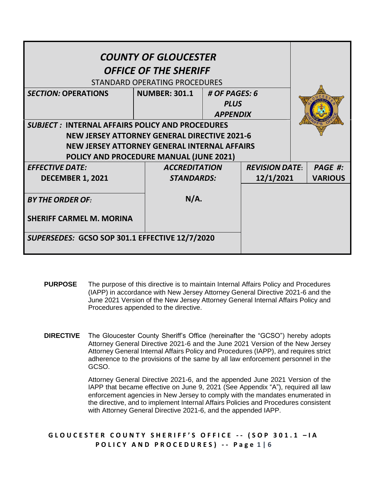| <b>COUNTY OF GLOUCESTER</b><br><b>OFFICE OF THE SHERIFF</b><br>STANDARD OPERATING PROCEDURES |                      |                       |                                |           |                |
|----------------------------------------------------------------------------------------------|----------------------|-----------------------|--------------------------------|-----------|----------------|
| <b>SECTION: OPERATIONS</b>                                                                   | NUMBER: 301.1        | # OF PAGES: 6         |                                |           |                |
|                                                                                              |                      |                       | <b>PLUS</b><br><b>APPENDIX</b> |           |                |
| <b>SUBJECT: INTERNAL AFFAIRS POLICY AND PROCEDURES</b>                                       |                      |                       |                                |           |                |
| <b>NEW JERSEY ATTORNEY GENERAL DIRECTIVE 2021-6</b>                                          |                      |                       |                                |           |                |
| NEW JERSEY ATTORNEY GENERAL INTERNAL AFFAIRS                                                 |                      |                       |                                |           |                |
| POLICY AND PROCEDURE MANUAL (JUNE 2021)                                                      |                      |                       |                                |           |                |
| <b>EFFECTIVE DATE:</b>                                                                       | <b>ACCREDITATION</b> | <b>REVISION DATE:</b> |                                |           | PAGE #:        |
| <b>DECEMBER 1, 2021</b>                                                                      |                      | <b>STANDARDS:</b>     |                                | 12/1/2021 | <b>VARIOUS</b> |
| <b>BY THE ORDER OF:</b>                                                                      |                      | N/A.                  |                                |           |                |
| <b>SHERIFF CARMEL M. MORINA</b>                                                              |                      |                       |                                |           |                |
| SUPERSEDES: GCSO SOP 301.1 EFFECTIVE 12/7/2020                                               |                      |                       |                                |           |                |

- **PURPOSE** The purpose of this directive is to maintain Internal Affairs Policy and Procedures (IAPP) in accordance with New Jersey Attorney General Directive 2021-6 and the June 2021 Version of the New Jersey Attorney General Internal Affairs Policy and Procedures appended to the directive.
- **DIRECTIVE** The Gloucester County Sheriff's Office (hereinafter the "GCSO") hereby adopts Attorney General Directive 2021-6 and the June 2021 Version of the New Jersey Attorney General Internal Affairs Policy and Procedures (IAPP), and requires strict adherence to the provisions of the same by all law enforcement personnel in the GCSO.

Attorney General Directive 2021-6, and the appended June 2021 Version of the IAPP that became effective on June 9, 2021 (See Appendix "A"), required all law enforcement agencies in New Jersey to comply with the mandates enumerated in the directive, and to implement Internal Affairs Policies and Procedures consistent with Attorney General Directive 2021-6, and the appended IAPP.

**G L O U C E S T E R C O U N T Y S H E R I F F ' S O F F I C E - - ( S O P 3 0 1 . 1 – I A P O L I C Y A N D P R O C E D U R E S ) - - P a g e 1 | 6**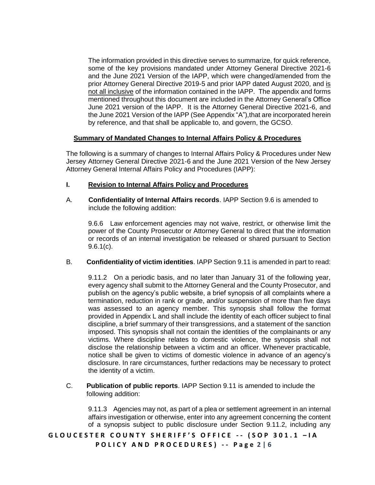The information provided in this directive serves to summarize, for quick reference, some of the key provisions mandated under Attorney General Directive 2021-6 and the June 2021 Version of the IAPP, which were changed/amended from the prior Attorney General Directive 2019-5 and prior IAPP dated August 2020, and is not all inclusive of the information contained in the IAPP. The appendix and forms mentioned throughout this document are included in the Attorney General's Office June 2021 version of the IAPP. It is the Attorney General Directive 2021-6, and the June 2021 Version of the IAPP (See Appendix "A"),that are incorporated herein by reference, and that shall be applicable to, and govern, the GCSO.

#### **Summary of Mandated Changes to Internal Affairs Policy & Procedures**

The following is a summary of changes to Internal Affairs Policy & Procedures under New Jersey Attorney General Directive 2021-6 and the June 2021 Version of the New Jersey Attorney General Internal Affairs Policy and Procedures (IAPP):

#### **I. Revision to Internal Affairs Policy and Procedures**

A. **Confidentiality of Internal Affairs records**. IAPP Section 9.6 is amended to include the following addition:

9.6.6 Law enforcement agencies may not waive, restrict, or otherwise limit the power of the County Prosecutor or Attorney General to direct that the information or records of an internal investigation be released or shared pursuant to Section 9.6.1(c).

B. **Confidentiality of victim identities**. IAPP Section 9.11 is amended in part to read:

9.11.2 On a periodic basis, and no later than January 31 of the following year, every agency shall submit to the Attorney General and the County Prosecutor, and publish on the agency's public website, a brief synopsis of all complaints where a termination, reduction in rank or grade, and/or suspension of more than five days was assessed to an agency member. This synopsis shall follow the format provided in Appendix L and shall include the identity of each officer subject to final discipline, a brief summary of their transgressions, and a statement of the sanction imposed. This synopsis shall not contain the identities of the complainants or any victims. Where discipline relates to domestic violence, the synopsis shall not disclose the relationship between a victim and an officer. Whenever practicable, notice shall be given to victims of domestic violence in advance of an agency's disclosure. In rare circumstances, further redactions may be necessary to protect the identity of a victim.

C. **Publication of public reports**. IAPP Section 9.11 is amended to include the following addition:

9.11.3 Agencies may not, as part of a plea or settlement agreement in an internal affairs investigation or otherwise, enter into any agreement concerning the content of a synopsis subject to public disclosure under Section 9.11.2, including any

**G L O U C E S T E R C O U N T Y S H E R I F F ' S O F F I C E - - ( S O P 3 0 1 . 1 – I A P O L I C Y A N D P R O C E D U R E S ) - - P a g e 2 | 6**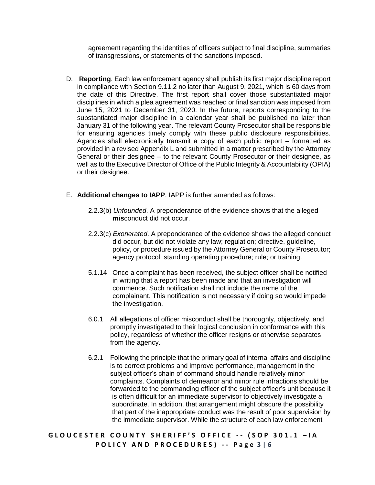agreement regarding the identities of officers subject to final discipline, summaries of transgressions, or statements of the sanctions imposed.

- D. **Reporting**. Each law enforcement agency shall publish its first major discipline report in compliance with Section 9.11.2 no later than August 9, 2021, which is 60 days from the date of this Directive. The first report shall cover those substantiated major disciplines in which a plea agreement was reached or final sanction was imposed from June 15, 2021 to December 31, 2020. In the future, reports corresponding to the substantiated major discipline in a calendar year shall be published no later than January 31 of the following year. The relevant County Prosecutor shall be responsible for ensuring agencies timely comply with these public disclosure responsibilities. Agencies shall electronically transmit a copy of each public report – formatted as provided in a revised Appendix L and submitted in a matter prescribed by the Attorney General or their designee – to the relevant County Prosecutor or their designee, as well as to the Executive Director of Office of the Public Integrity & Accountability (OPIA) or their designee.
- E. **Additional changes to IAPP**, IAPP is further amended as follows:
	- 2.2.3(b) *Unfounded*. A preponderance of the evidence shows that the alleged **mis**conduct did not occur.
	- 2.2.3(c) *Exonerated*. A preponderance of the evidence shows the alleged conduct did occur, but did not violate any law; regulation; directive, guideline, policy, or procedure issued by the Attorney General or County Prosecutor; agency protocol; standing operating procedure; rule; or training.
	- 5.1.14 Once a complaint has been received, the subject officer shall be notified in writing that a report has been made and that an investigation will commence. Such notification shall not include the name of the complainant. This notification is not necessary if doing so would impede the investigation.
	- 6.0.1 All allegations of officer misconduct shall be thoroughly, objectively, and promptly investigated to their logical conclusion in conformance with this policy, regardless of whether the officer resigns or otherwise separates from the agency.
	- 6.2.1 Following the principle that the primary goal of internal affairs and discipline is to correct problems and improve performance, management in the subject officer's chain of command should handle relatively minor complaints. Complaints of demeanor and minor rule infractions should be forwarded to the commanding officer of the subject officer's unit because it is often difficult for an immediate supervisor to objectively investigate a subordinate. In addition, that arrangement might obscure the possibility that part of the inappropriate conduct was the result of poor supervision by the immediate supervisor. While the structure of each law enforcement

**G L O U C E S T E R C O U N T Y S H E R I F F ' S O F F I C E - - ( S O P 3 0 1 . 1 – I A P O L I C Y A N D P R O C E D U R E S ) - - P a g e 3 | 6**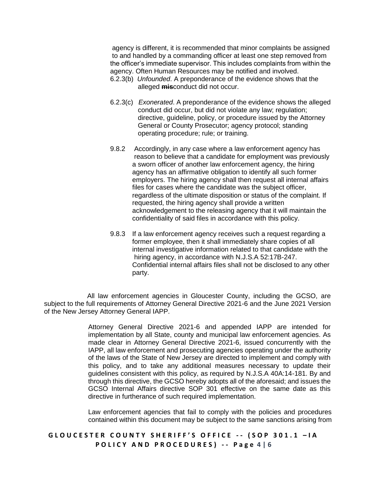agency is different, it is recommended that minor complaints be assigned to and handled by a commanding officer at least one step removed from the officer's immediate supervisor. This includes complaints from within the agency. Often Human Resources may be notified and involved.

- 6.2.3(b) *Unfounded*. A preponderance of the evidence shows that the alleged **mis**conduct did not occur.
- 6.2.3(c) *Exonerated*. A preponderance of the evidence shows the alleged conduct did occur, but did not violate any law; regulation; directive, guideline, policy, or procedure issued by the Attorney General or County Prosecutor; agency protocol; standing operating procedure; rule; or training.
- 9.8.2 Accordingly, in any case where a law enforcement agency has reason to believe that a candidate for employment was previously a sworn officer of another law enforcement agency, the hiring agency has an affirmative obligation to identify all such former employers. The hiring agency shall then request all internal affairs files for cases where the candidate was the subject officer, regardless of the ultimate disposition or status of the complaint. If requested, the hiring agency shall provide a written acknowledgement to the releasing agency that it will maintain the confidentiality of said files in accordance with this policy.
- 9.8.3 If a law enforcement agency receives such a request regarding a former employee, then it shall immediately share copies of all internal investigative information related to that candidate with the hiring agency, in accordance with N.J.S.A 52:17B-247. Confidential internal affairs files shall not be disclosed to any other party.

 All law enforcement agencies in Gloucester County, including the GCSO, are subject to the full requirements of Attorney General Directive 2021-6 and the June 2021 Version of the New Jersey Attorney General IAPP.

> Attorney General Directive 2021-6 and appended IAPP are intended for implementation by all State, county and municipal law enforcement agencies. As made clear in Attorney General Directive 2021-6, issued concurrently with the IAPP, all law enforcement and prosecuting agencies operating under the authority of the laws of the State of New Jersey are directed to implement and comply with this policy, and to take any additional measures necessary to update their guidelines consistent with this policy, as required by N.J.S.A 40A:14-181. By and through this directive, the GCSO hereby adopts all of the aforesaid; and issues the GCSO Internal Affairs directive SOP 301 effective on the same date as this directive in furtherance of such required implementation.

> Law enforcement agencies that fail to comply with the policies and procedures contained within this document may be subject to the same sanctions arising from

## **G L O U C E S T E R C O U N T Y S H E R I F F ' S O F F I C E - - ( S O P 3 0 1 . 1 – I A P O L I C Y A N D P R O C E D U R E S ) - - P a g e 4 | 6**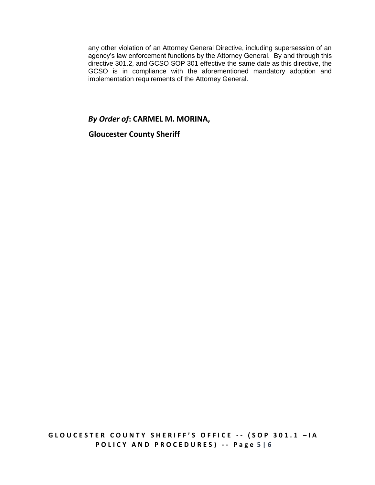any other violation of an Attorney General Directive, including supersession of an agency's law enforcement functions by the Attorney General. By and through this directive 301.2, and GCSO SOP 301 effective the same date as this directive, the GCSO is in compliance with the aforementioned mandatory adoption and implementation requirements of the Attorney General.

## *By Order of***: CARMEL M. MORINA,**

 **Gloucester County Sheriff**

**P O L I C Y A N D P R O C E D U R E S ) - - P a g e 5 | 6**

**G L O U C E S T E R C O U N T Y S H E R I F F ' S O F F I C E - - ( S O P 3 0 1 . 1 – I A**